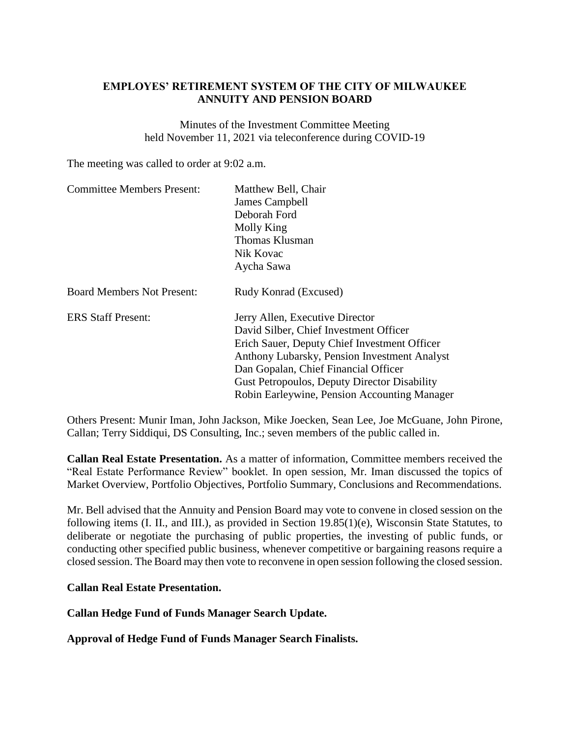## **EMPLOYES' RETIREMENT SYSTEM OF THE CITY OF MILWAUKEE ANNUITY AND PENSION BOARD**

Minutes of the Investment Committee Meeting held November 11, 2021 via teleconference during COVID-19

The meeting was called to order at 9:02 a.m.

| <b>Committee Members Present:</b> | Matthew Bell, Chair                                 |
|-----------------------------------|-----------------------------------------------------|
|                                   | James Campbell                                      |
|                                   | Deborah Ford                                        |
|                                   | Molly King                                          |
|                                   | Thomas Klusman                                      |
|                                   | Nik Kovac                                           |
|                                   | Aycha Sawa                                          |
| <b>Board Members Not Present:</b> | Rudy Konrad (Excused)                               |
| <b>ERS Staff Present:</b>         | Jerry Allen, Executive Director                     |
|                                   | David Silber, Chief Investment Officer              |
|                                   | Erich Sauer, Deputy Chief Investment Officer        |
|                                   | Anthony Lubarsky, Pension Investment Analyst        |
|                                   | Dan Gopalan, Chief Financial Officer                |
|                                   | <b>Gust Petropoulos, Deputy Director Disability</b> |
|                                   | Robin Earleywine, Pension Accounting Manager        |
|                                   |                                                     |

Others Present: Munir Iman, John Jackson, Mike Joecken, Sean Lee, Joe McGuane, John Pirone, Callan; Terry Siddiqui, DS Consulting, Inc.; seven members of the public called in.

**Callan Real Estate Presentation.** As a matter of information, Committee members received the "Real Estate Performance Review" booklet. In open session, Mr. Iman discussed the topics of Market Overview, Portfolio Objectives, Portfolio Summary, Conclusions and Recommendations.

Mr. Bell advised that the Annuity and Pension Board may vote to convene in closed session on the following items (I. II., and III.), as provided in Section 19.85(1)(e), Wisconsin State Statutes, to deliberate or negotiate the purchasing of public properties, the investing of public funds, or conducting other specified public business, whenever competitive or bargaining reasons require a closed session. The Board may then vote to reconvene in open session following the closed session.

## **Callan Real Estate Presentation.**

## **Callan Hedge Fund of Funds Manager Search Update.**

**Approval of Hedge Fund of Funds Manager Search Finalists.**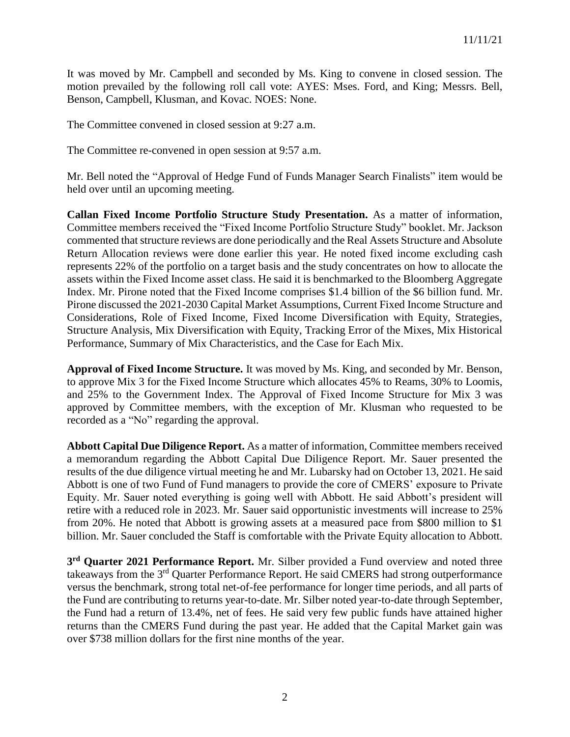It was moved by Mr. Campbell and seconded by Ms. King to convene in closed session. The motion prevailed by the following roll call vote: AYES: Mses. Ford, and King; Messrs. Bell, Benson, Campbell, Klusman, and Kovac. NOES: None.

The Committee convened in closed session at 9:27 a.m.

The Committee re-convened in open session at 9:57 a.m.

Mr. Bell noted the "Approval of Hedge Fund of Funds Manager Search Finalists" item would be held over until an upcoming meeting.

**Callan Fixed Income Portfolio Structure Study Presentation.** As a matter of information, Committee members received the "Fixed Income Portfolio Structure Study" booklet. Mr. Jackson commented that structure reviews are done periodically and the Real Assets Structure and Absolute Return Allocation reviews were done earlier this year. He noted fixed income excluding cash represents 22% of the portfolio on a target basis and the study concentrates on how to allocate the assets within the Fixed Income asset class. He said it is benchmarked to the Bloomberg Aggregate Index. Mr. Pirone noted that the Fixed Income comprises \$1.4 billion of the \$6 billion fund. Mr. Pirone discussed the 2021-2030 Capital Market Assumptions, Current Fixed Income Structure and Considerations, Role of Fixed Income, Fixed Income Diversification with Equity, Strategies, Structure Analysis, Mix Diversification with Equity, Tracking Error of the Mixes, Mix Historical Performance, Summary of Mix Characteristics, and the Case for Each Mix.

**Approval of Fixed Income Structure.** It was moved by Ms. King, and seconded by Mr. Benson, to approve Mix 3 for the Fixed Income Structure which allocates 45% to Reams, 30% to Loomis, and 25% to the Government Index. The Approval of Fixed Income Structure for Mix 3 was approved by Committee members, with the exception of Mr. Klusman who requested to be recorded as a "No" regarding the approval.

**Abbott Capital Due Diligence Report.** As a matter of information, Committee members received a memorandum regarding the Abbott Capital Due Diligence Report. Mr. Sauer presented the results of the due diligence virtual meeting he and Mr. Lubarsky had on October 13, 2021. He said Abbott is one of two Fund of Fund managers to provide the core of CMERS' exposure to Private Equity. Mr. Sauer noted everything is going well with Abbott. He said Abbott's president will retire with a reduced role in 2023. Mr. Sauer said opportunistic investments will increase to 25% from 20%. He noted that Abbott is growing assets at a measured pace from \$800 million to \$1 billion. Mr. Sauer concluded the Staff is comfortable with the Private Equity allocation to Abbott.

**3 rd Quarter 2021 Performance Report.** Mr. Silber provided a Fund overview and noted three takeaways from the 3<sup>rd</sup> Quarter Performance Report. He said CMERS had strong outperformance versus the benchmark, strong total net-of-fee performance for longer time periods, and all parts of the Fund are contributing to returns year-to-date. Mr. Silber noted year-to-date through September, the Fund had a return of 13.4%, net of fees. He said very few public funds have attained higher returns than the CMERS Fund during the past year. He added that the Capital Market gain was over \$738 million dollars for the first nine months of the year.